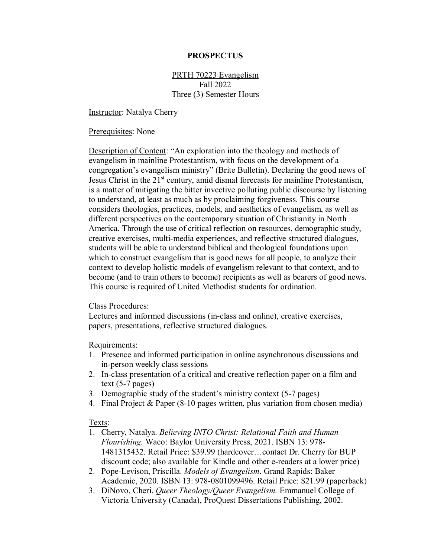### **PROSPECTUS**

# PRTH 70223 Evangelism Fall 2022 Three (3) Semester Hours

Instructor: Natalya Cherry

#### Prerequisites: None

Description of Content: "An exploration into the theology and methods of evangelism in mainline Protestantism, with focus on the development of a congregation's evangelism ministry" (Brite Bulletin). Declaring the good news of Jesus Christ in the 21<sup>st</sup> century, amid dismal forecasts for mainline Protestantism, is a matter of mitigating the bitter invective polluting public discourse by listening to understand, at least as much as by proclaiming forgiveness. This course considers theologies, practices, models, and aesthetics of evangelism, as well as different perspectives on the contemporary situation of Christianity in North America. Through the use of critical reflection on resources, demographic study, creative exercises, multi-media experiences, and reflective structured dialogues, students will be able to understand biblical and theological foundations upon which to construct evangelism that is good news for all people, to analyze their context to develop holistic models of evangelism relevant to that context, and to become (and to train others to become) recipients as well as bearers of good news. This course is required of United Methodist students for ordination.

#### Class Procedures:

Lectures and informed discussions (in-class and online), creative exercises, papers, presentations, reflective structured dialogues.

#### Requirements:

- 1. Presence and informed participation in online asynchronous discussions and in-person weekly class sessions
- 2. In-class presentation of a critical and creative reflection paper on a film and text (5-7 pages)
- 3. Demographic study of the student's ministry context (5-7 pages)
- 4. Final Project & Paper (8-10 pages written, plus variation from chosen media)

## Texts:

- 1. Cherry, Natalya. *Believing INTO Christ: Relational Faith and Human Flourishing.* Waco: Baylor University Press, 2021. ISBN 13: 978- 1481315432. Retail Price: \$39.99 (hardcover…contact Dr. Cherry for BUP discount code; also available for Kindle and other e-readers at a lower price)
- 2. Pope-Levison, Priscilla. *Models of Evangelism*. Grand Rapids: Baker Academic, 2020. ISBN 13: 978-0801099496. Retail Price: \$21.99 (paperback)
- 3. DiNovo, Cheri. *Queer Theology/Queer Evangelism.* Emmanuel College of Victoria University (Canada), ProQuest Dissertations Publishing, 2002.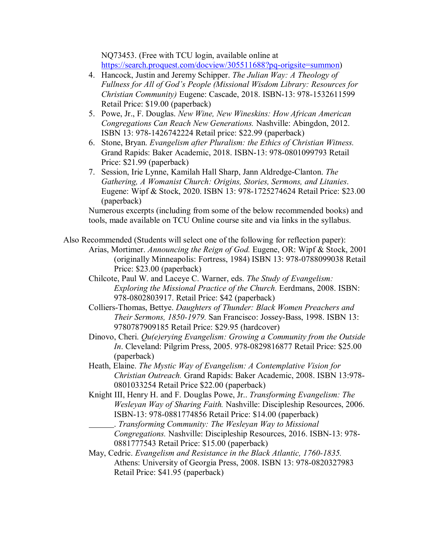NQ73453. (Free with TCU login, available online at [https://search.proquest.com/docview/305511688?pq-origsite=summon\)](https://search.proquest.com/docview/305511688?pq-origsite=summon)

- 4. Hancock, Justin and Jeremy Schipper. *The Julian Way: A Theology of Fullness for All of God's People (Missional Wisdom Library: Resources for Christian Community)* Eugene: Cascade, 2018. ISBN-13: 978-1532611599 Retail Price: \$19.00 (paperback)
- 5. Powe, Jr., F. Douglas. *New Wine, New Wineskins: How African American Congregations Can Reach New Generations.* Nashville: Abingdon, 2012. ISBN 13: 978-1426742224 Retail price: \$22.99 (paperback)
- 6. Stone, Bryan. *Evangelism after Pluralism: the Ethics of Christian Witness.*  Grand Rapids: Baker Academic, 2018. ISBN-13: 978-0801099793 Retail Price: \$21.99 (paperback)
- 7. Session, Irie Lynne, Kamilah Hall Sharp, Jann Aldredge-Clanton. *The Gathering, A Womanist Church: Origins, Stories, Sermons, and Litanies*. Eugene: Wipf & Stock, 2020. ISBN 13: 978-1725274624 Retail Price: \$23.00 (paperback)

Numerous excerpts (including from some of the below recommended books) and tools, made available on TCU Online course site and via links in the syllabus.

Also Recommended (Students will select one of the following for reflection paper):

Arias, Mortimer. *Announcing the Reign of God.* Eugene, OR: Wipf & Stock, 2001 (originally Minneapolis: Fortress, 1984) ISBN 13: 978-0788099038 Retail Price: \$23.00 (paperback)

Chilcote, Paul W. and Laceye C. Warner, eds. *The Study of Evangelism: Exploring the Missional Practice of the Church.* Eerdmans, 2008. ISBN: 978-0802803917. Retail Price: \$42 (paperback)

- Colliers-Thomas, Bettye. *Daughters of Thunder: Black Women Preachers and Their Sermons, 1850-1979.* San Francisco: Jossey-Bass, 1998. ISBN 13: 9780787909185 Retail Price: \$29.95 (hardcover)
- Dinovo, Cheri. *Qu(e)erying Evangelism: Growing a Community from the Outside In*. Cleveland: Pilgrim Press, 2005. 978-0829816877 Retail Price: \$25.00 (paperback)
- Heath, Elaine. *The Mystic Way of Evangelism: A Contemplative Vision for Christian Outreach.* Grand Rapids: Baker Academic, 2008. ISBN 13:978- 0801033254 Retail Price \$22.00 (paperback)

Knight III, Henry H. and F. Douglas Powe, Jr.. *Transforming Evangelism: The Wesleyan Way of Sharing Faith.* Nashville: Discipleship Resources, 2006. ISBN-13: 978-0881774856 Retail Price: \$14.00 (paperback)

. *Transforming Community: The Wesleyan Way to Missional Congregations.* Nashville: Discipleship Resources, 2016. ISBN-13: 978- 0881777543 Retail Price: \$15.00 (paperback)

May, Cedric. *Evangelism and Resistance in the Black Atlantic, 1760-1835.*  Athens: University of Georgia Press, 2008. ISBN 13: 978-0820327983 Retail Price: \$41.95 (paperback)